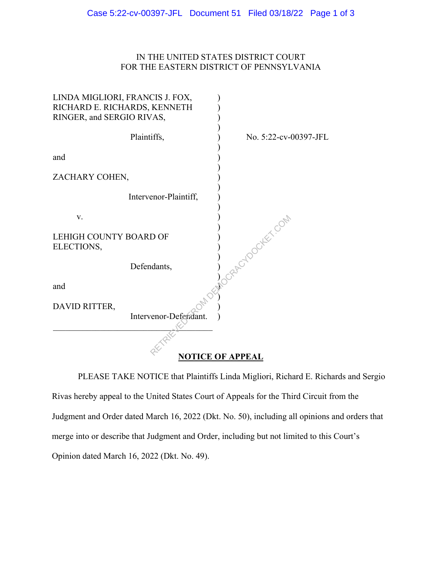## IN THE UNITED STATES DISTRICT COURT FOR THE EASTERN DISTRICT OF PENNSYLVANIA

| LINDA MIGLIORI, FRANCIS J. FOX,<br>RICHARD E. RICHARDS, KENNETH<br>RINGER, and SERGIO RIVAS, |                       |                       |
|----------------------------------------------------------------------------------------------|-----------------------|-----------------------|
|                                                                                              | Plaintiffs,           | No. 5:22-cv-00397-JFL |
| and                                                                                          |                       |                       |
| ZACHARY COHEN,                                                                               |                       |                       |
|                                                                                              | Intervenor-Plaintiff, |                       |
| V.                                                                                           |                       |                       |
| LEHIGH COUNTY BOARD OF<br>ELECTIONS,                                                         |                       | <b>ArloockEr.com</b>  |
|                                                                                              | Defendants,           |                       |
| and                                                                                          |                       |                       |
| DAVID RITTER,                                                                                |                       |                       |
|                                                                                              | Intervenor-Defendant. |                       |
|                                                                                              |                       |                       |

## **NOTICE OF APPEAL**

PLEASE TAKE NOTICE that Plaintiffs Linda Migliori, Richard E. Richards and Sergio Rivas hereby appeal to the United States Court of Appeals for the Third Circuit from the Judgment and Order dated March 16, 2022 (Dkt. No. 50), including all opinions and orders that merge into or describe that Judgment and Order, including but not limited to this Court's Opinion dated March 16, 2022 (Dkt. No. 49).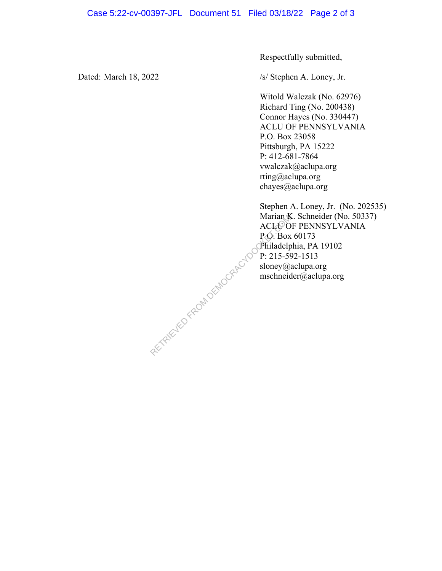Respectfully submitted,

Dated: March 18, 2022 /s/ Stephen A. Loney, Jr.

Witold Walczak (No. 62976) Richard Ting (No. 200438) Connor Hayes (No. 330447) ACLU OF PENNSYLVANIA P.O. Box 23058 Pittsburgh, PA 15222 P: 412-681-7864 vwalczak@aclupa.org rting@aclupa.org chayes@aclupa.org

Stephen A. Loney, Jr. (No. 202535) Marian K. Schneider (No. 50337) ACLU OF PENNSYLVANIA P.O. Box 60173 Philadelphia, PA 19102 P: 215-592-1513 sloney@aclupa.org mschneider@aclupa.org RETRIEVED FROM DEMOCRACYDO